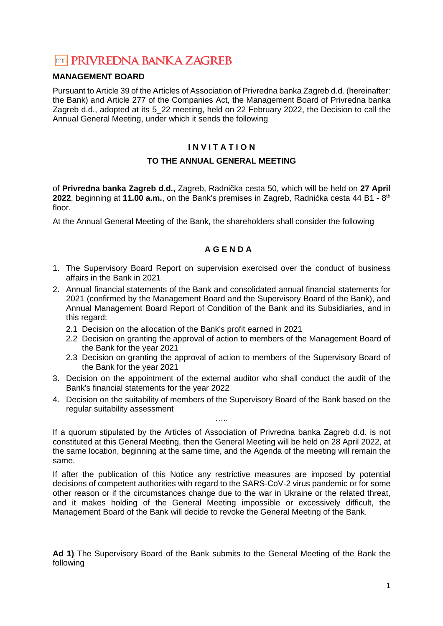# **TOTA PRIVREDNA BANKA ZAGREB**

# **MANAGEMENT BOARD**

Pursuant to Article 39 of the Articles of Association of Privredna banka Zagreb d.d. (hereinafter: the Bank) and Article 277 of the Companies Act, the Management Board of Privredna banka Zagreb d.d., adopted at its 5\_22 meeting, held on 22 February 2022, the Decision to call the Annual General Meeting, under which it sends the following

# **I N V I T A T I O N**

# **TO THE ANNUAL GENERAL MEETING**

of **Privredna banka Zagreb d.d.,** Zagreb, Radnička cesta 50, which will be held on **27 April 2022**, beginning at **11.00 a.m.**, on the Bank's premises in Zagreb, Radnička cesta 44 B1 - 8th floor.

At the Annual General Meeting of the Bank, the shareholders shall consider the following

# **A G E N D A**

- 1. The Supervisory Board Report on supervision exercised over the conduct of business affairs in the Bank in 2021
- 2. Annual financial statements of the Bank and consolidated annual financial statements for 2021 (confirmed by the Management Board and the Supervisory Board of the Bank), and Annual Management Board Report of Condition of the Bank and its Subsidiaries, and in this regard:
	- 2.1 Decision on the allocation of the Bank's profit earned in 2021
	- 2.2 Decision on granting the approval of action to members of the Management Board of the Bank for the year 2021
	- 2.3 Decision on granting the approval of action to members of the Supervisory Board of the Bank for the year 2021
- 3. Decision on the appointment of the external auditor who shall conduct the audit of the Bank's financial statements for the year 2022
- 4. Decision on the suitability of members of the Supervisory Board of the Bank based on the regular suitability assessment …..

If a quorum stipulated by the Articles of Association of Privredna banka Zagreb d.d. is not constituted at this General Meeting, then the General Meeting will be held on 28 April 2022, at the same location, beginning at the same time, and the Agenda of the meeting will remain the same.

If after the publication of this Notice any restrictive measures are imposed by potential decisions of competent authorities with regard to the SARS-CoV-2 virus pandemic or for some other reason or if the circumstances change due to the war in Ukraine or the related threat, and it makes holding of the General Meeting impossible or excessively difficult, the Management Board of the Bank will decide to revoke the General Meeting of the Bank.

**Ad 1)** The Supervisory Board of the Bank submits to the General Meeting of the Bank the following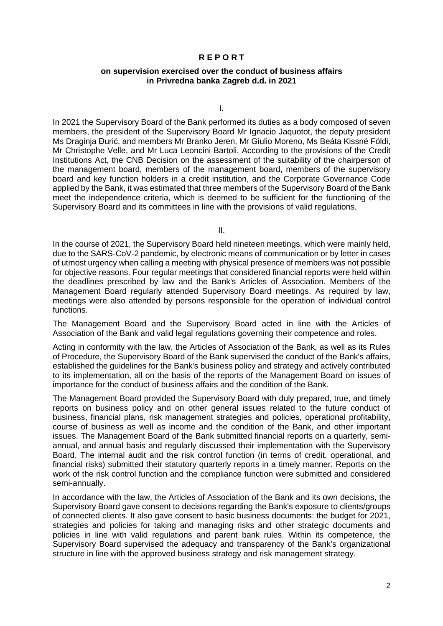# **R E P O R T**

#### **on supervision exercised over the conduct of business affairs in Privredna banka Zagreb d.d. in 2021**

I.

In 2021 the Supervisory Board of the Bank performed its duties as a body composed of seven members, the president of the Supervisory Board Mr Ignacio Jaquotot, the deputy president Ms Draginja Đurić, and members Mr Branko Jeren, Mr Giulio Moreno, Ms Beáta Kissné Földi, Mr Christophe Velle, and Mr Luca Leoncini Bartoli. According to the provisions of the Credit Institutions Act, the CNB Decision on the assessment of the suitability of the chairperson of the management board, members of the management board, members of the supervisory board and key function holders in a credit institution, and the Corporate Governance Code applied by the Bank, it was estimated that three members of the Supervisory Board of the Bank meet the independence criteria, which is deemed to be sufficient for the functioning of the Supervisory Board and its committees in line with the provisions of valid regulations.

II.

In the course of 2021, the Supervisory Board held nineteen meetings, which were mainly held, due to the SARS-CoV-2 pandemic, by electronic means of communication or by letter in cases of utmost urgency when calling a meeting with physical presence of members was not possible for objective reasons. Four regular meetings that considered financial reports were held within the deadlines prescribed by law and the Bank's Articles of Association. Members of the Management Board regularly attended Supervisory Board meetings. As required by law, meetings were also attended by persons responsible for the operation of individual control functions.

The Management Board and the Supervisory Board acted in line with the Articles of Association of the Bank and valid legal regulations governing their competence and roles.

Acting in conformity with the law, the Articles of Association of the Bank, as well as its Rules of Procedure, the Supervisory Board of the Bank supervised the conduct of the Bank's affairs, established the guidelines for the Bank's business policy and strategy and actively contributed to its implementation, all on the basis of the reports of the Management Board on issues of importance for the conduct of business affairs and the condition of the Bank.

The Management Board provided the Supervisory Board with duly prepared, true, and timely reports on business policy and on other general issues related to the future conduct of business, financial plans, risk management strategies and policies, operational profitability, course of business as well as income and the condition of the Bank, and other important issues. The Management Board of the Bank submitted financial reports on a quarterly, semiannual, and annual basis and regularly discussed their implementation with the Supervisory Board. The internal audit and the risk control function (in terms of credit, operational, and financial risks) submitted their statutory quarterly reports in a timely manner. Reports on the work of the risk control function and the compliance function were submitted and considered semi-annually.

In accordance with the law, the Articles of Association of the Bank and its own decisions, the Supervisory Board gave consent to decisions regarding the Bank's exposure to clients/groups of connected clients. It also gave consent to basic business documents: the budget for 2021, strategies and policies for taking and managing risks and other strategic documents and policies in line with valid regulations and parent bank rules. Within its competence, the Supervisory Board supervised the adequacy and transparency of the Bank's organizational structure in line with the approved business strategy and risk management strategy.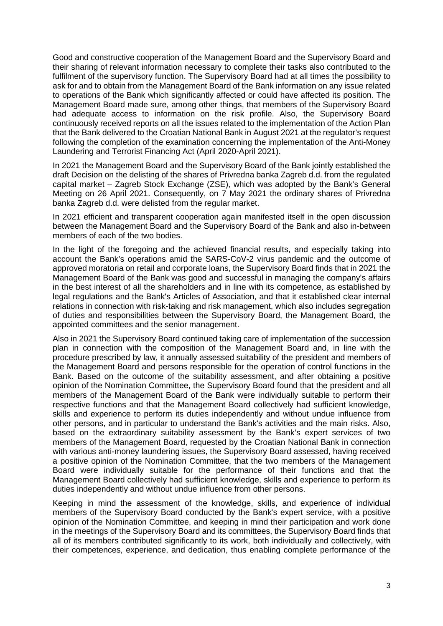Good and constructive cooperation of the Management Board and the Supervisory Board and their sharing of relevant information necessary to complete their tasks also contributed to the fulfilment of the supervisory function. The Supervisory Board had at all times the possibility to ask for and to obtain from the Management Board of the Bank information on any issue related to operations of the Bank which significantly affected or could have affected its position. The Management Board made sure, among other things, that members of the Supervisory Board had adequate access to information on the risk profile. Also, the Supervisory Board continuously received reports on all the issues related to the implementation of the Action Plan that the Bank delivered to the Croatian National Bank in August 2021 at the regulator's request following the completion of the examination concerning the implementation of the Anti-Money Laundering and Terrorist Financing Act (April 2020-April 2021).

In 2021 the Management Board and the Supervisory Board of the Bank jointly established the draft Decision on the delisting of the shares of Privredna banka Zagreb d.d. from the regulated capital market – Zagreb Stock Exchange (ZSE), which was adopted by the Bank's General Meeting on 26 April 2021. Consequently, on 7 May 2021 the ordinary shares of Privredna banka Zagreb d.d. were delisted from the regular market.

In 2021 efficient and transparent cooperation again manifested itself in the open discussion between the Management Board and the Supervisory Board of the Bank and also in-between members of each of the two bodies.

In the light of the foregoing and the achieved financial results, and especially taking into account the Bank's operations amid the SARS-CoV-2 virus pandemic and the outcome of approved moratoria on retail and corporate loans, the Supervisory Board finds that in 2021 the Management Board of the Bank was good and successful in managing the company's affairs in the best interest of all the shareholders and in line with its competence, as established by legal regulations and the Bank's Articles of Association, and that it established clear internal relations in connection with risk-taking and risk management, which also includes segregation of duties and responsibilities between the Supervisory Board, the Management Board, the appointed committees and the senior management.

Also in 2021 the Supervisory Board continued taking care of implementation of the succession plan in connection with the composition of the Management Board and, in line with the procedure prescribed by law, it annually assessed suitability of the president and members of the Management Board and persons responsible for the operation of control functions in the Bank. Based on the outcome of the suitability assessment, and after obtaining a positive opinion of the Nomination Committee, the Supervisory Board found that the president and all members of the Management Board of the Bank were individually suitable to perform their respective functions and that the Management Board collectively had sufficient knowledge, skills and experience to perform its duties independently and without undue influence from other persons, and in particular to understand the Bank's activities and the main risks. Also, based on the extraordinary suitability assessment by the Bank's expert services of two members of the Management Board, requested by the Croatian National Bank in connection with various anti-money laundering issues, the Supervisory Board assessed, having received a positive opinion of the Nomination Committee, that the two members of the Management Board were individually suitable for the performance of their functions and that the Management Board collectively had sufficient knowledge, skills and experience to perform its duties independently and without undue influence from other persons.

Keeping in mind the assessment of the knowledge, skills, and experience of individual members of the Supervisory Board conducted by the Bank's expert service, with a positive opinion of the Nomination Committee, and keeping in mind their participation and work done in the meetings of the Supervisory Board and its committees, the Supervisory Board finds that all of its members contributed significantly to its work, both individually and collectively, with their competences, experience, and dedication, thus enabling complete performance of the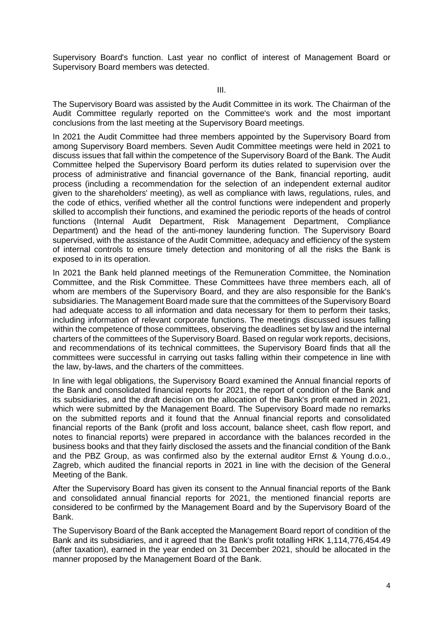Supervisory Board's function. Last year no conflict of interest of Management Board or Supervisory Board members was detected.

III.

The Supervisory Board was assisted by the Audit Committee in its work. The Chairman of the Audit Committee regularly reported on the Committee's work and the most important conclusions from the last meeting at the Supervisory Board meetings.

In 2021 the Audit Committee had three members appointed by the Supervisory Board from among Supervisory Board members. Seven Audit Committee meetings were held in 2021 to discuss issues that fall within the competence of the Supervisory Board of the Bank. The Audit Committee helped the Supervisory Board perform its duties related to supervision over the process of administrative and financial governance of the Bank, financial reporting, audit process (including a recommendation for the selection of an independent external auditor given to the shareholders' meeting), as well as compliance with laws, regulations, rules, and the code of ethics, verified whether all the control functions were independent and properly skilled to accomplish their functions, and examined the periodic reports of the heads of control functions (Internal Audit Department, Risk Management Department, Compliance Department) and the head of the anti-money laundering function. The Supervisory Board supervised, with the assistance of the Audit Committee, adequacy and efficiency of the system of internal controls to ensure timely detection and monitoring of all the risks the Bank is exposed to in its operation.

In 2021 the Bank held planned meetings of the Remuneration Committee, the Nomination Committee, and the Risk Committee. These Committees have three members each, all of whom are members of the Supervisory Board, and they are also responsible for the Bank's subsidiaries. The Management Board made sure that the committees of the Supervisory Board had adequate access to all information and data necessary for them to perform their tasks, including information of relevant corporate functions. The meetings discussed issues falling within the competence of those committees, observing the deadlines set by law and the internal charters of the committees of the Supervisory Board. Based on regular work reports, decisions, and recommendations of its technical committees, the Supervisory Board finds that all the committees were successful in carrying out tasks falling within their competence in line with the law, by-laws, and the charters of the committees.

In line with legal obligations, the Supervisory Board examined the Annual financial reports of the Bank and consolidated financial reports for 2021, the report of condition of the Bank and its subsidiaries, and the draft decision on the allocation of the Bank's profit earned in 2021, which were submitted by the Management Board. The Supervisory Board made no remarks on the submitted reports and it found that the Annual financial reports and consolidated financial reports of the Bank (profit and loss account, balance sheet, cash flow report, and notes to financial reports) were prepared in accordance with the balances recorded in the business books and that they fairly disclosed the assets and the financial condition of the Bank and the PBZ Group, as was confirmed also by the external auditor Ernst & Young d.o.o., Zagreb, which audited the financial reports in 2021 in line with the decision of the General Meeting of the Bank.

After the Supervisory Board has given its consent to the Annual financial reports of the Bank and consolidated annual financial reports for 2021, the mentioned financial reports are considered to be confirmed by the Management Board and by the Supervisory Board of the Bank.

The Supervisory Board of the Bank accepted the Management Board report of condition of the Bank and its subsidiaries, and it agreed that the Bank's profit totalling HRK 1,114,776,454.49 (after taxation), earned in the year ended on 31 December 2021, should be allocated in the manner proposed by the Management Board of the Bank.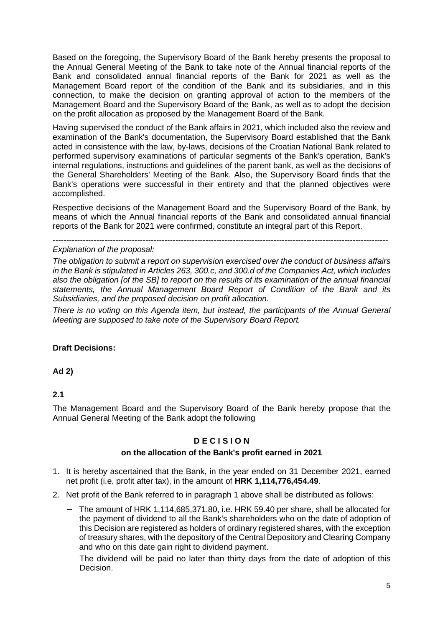Based on the foregoing, the Supervisory Board of the Bank hereby presents the proposal to the Annual General Meeting of the Bank to take note of the Annual financial reports of the Bank and consolidated annual financial reports of the Bank for 2021 as well as the Management Board report of the condition of the Bank and its subsidiaries, and in this connection, to make the decision on granting approval of action to the members of the Management Board and the Supervisory Board of the Bank, as well as to adopt the decision on the profit allocation as proposed by the Management Board of the Bank.

Having supervised the conduct of the Bank affairs in 2021, which included also the review and examination of the Bank's documentation, the Supervisory Board established that the Bank acted in consistence with the law, by-laws, decisions of the Croatian National Bank related to performed supervisory examinations of particular segments of the Bank's operation, Bank's internal regulations, instructions and guidelines of the parent bank, as well as the decisions of the General Shareholders' Meeting of the Bank. Also, the Supervisory Board finds that the Bank's operations were successful in their entirety and that the planned objectives were accomplished.

Respective decisions of the Management Board and the Supervisory Board of the Bank, by means of which the Annual financial reports of the Bank and consolidated annual financial reports of the Bank for 2021 were confirmed, constitute an integral part of this Report.

---------------------------------------------------------------------------------------------------------------------------

# Explanation of the proposal:

The obligation to submit a report on supervision exercised over the conduct of business affairs in the Bank is stipulated in Articles 263, 300.c, and 300.d of the Companies Act, which includes also the obligation [of the SB] to report on the results of its examination of the annual financial statements, the Annual Management Board Report of Condition of the Bank and its Subsidiaries, and the proposed decision on profit allocation.

There is no voting on this Agenda item, but instead, the participants of the Annual General Meeting are supposed to take note of the Supervisory Board Report.

# **Draft Decisions:**

**Ad 2)**

# **2.1**

The Management Board and the Supervisory Board of the Bank hereby propose that the Annual General Meeting of the Bank adopt the following

# **D E C I S I O N**

# **on the allocation of the Bank's profit earned in 2021**

- 1. It is hereby ascertained that the Bank, in the year ended on 31 December 2021, earned net profit (i.e. profit after tax), in the amount of **HRK 1,114,776,454.49**.
- 2. Net profit of the Bank referred to in paragraph 1 above shall be distributed as follows:
	- − The amount of HRK 1,114,685,371.80, i.e. HRK 59.40 per share, shall be allocated for the payment of dividend to all the Bank's shareholders who on the date of adoption of this Decision are registered as holders of ordinary registered shares, with the exception of treasury shares, with the depository of the Central Depository and Clearing Company and who on this date gain right to dividend payment.

The dividend will be paid no later than thirty days from the date of adoption of this Decision.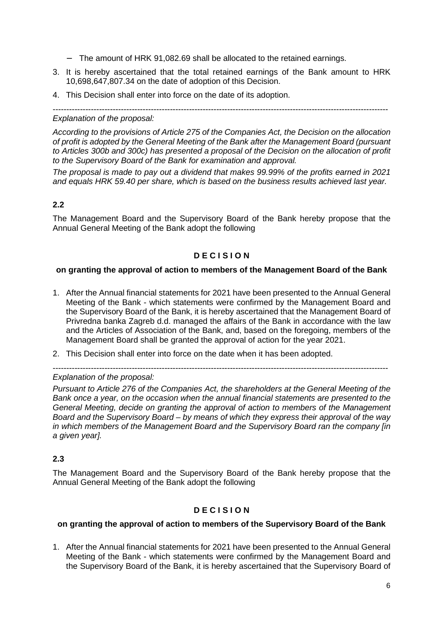- − The amount of HRK 91,082.69 shall be allocated to the retained earnings.
- 3. It is hereby ascertained that the total retained earnings of the Bank amount to HRK 10,698,647,807.34 on the date of adoption of this Decision.
- 4. This Decision shall enter into force on the date of its adoption.

---------------------------------------------------------------------------------------------------------------------------

# Explanation of the proposal:

According to the provisions of Article 275 of the Companies Act, the Decision on the allocation of profit is adopted by the General Meeting of the Bank after the Management Board (pursuant to Articles 300b and 300c) has presented a proposal of the Decision on the allocation of profit to the Supervisory Board of the Bank for examination and approval.

The proposal is made to pay out a dividend that makes 99.99% of the profits earned in 2021 and equals HRK 59.40 per share, which is based on the business results achieved last year.

# **2.2**

The Management Board and the Supervisory Board of the Bank hereby propose that the Annual General Meeting of the Bank adopt the following

# **D E C I S I O N**

# **on granting the approval of action to members of the Management Board of the Bank**

- 1. After the Annual financial statements for 2021 have been presented to the Annual General Meeting of the Bank - which statements were confirmed by the Management Board and the Supervisory Board of the Bank, it is hereby ascertained that the Management Board of Privredna banka Zagreb d.d. managed the affairs of the Bank in accordance with the law and the Articles of Association of the Bank, and, based on the foregoing, members of the Management Board shall be granted the approval of action for the year 2021.
- 2. This Decision shall enter into force on the date when it has been adopted.

---------------------------------------------------------------------------------------------------------------------------

# Explanation of the proposal:

Pursuant to Article 276 of the Companies Act, the shareholders at the General Meeting of the Bank once a year, on the occasion when the annual financial statements are presented to the General Meeting, decide on granting the approval of action to members of the Management Board and the Supervisory Board – by means of which they express their approval of the way in which members of the Management Board and the Supervisory Board ran the company [in a given year].

# **2.3**

The Management Board and the Supervisory Board of the Bank hereby propose that the Annual General Meeting of the Bank adopt the following

# **D E C I S I O N**

#### **on granting the approval of action to members of the Supervisory Board of the Bank**

1. After the Annual financial statements for 2021 have been presented to the Annual General Meeting of the Bank - which statements were confirmed by the Management Board and the Supervisory Board of the Bank, it is hereby ascertained that the Supervisory Board of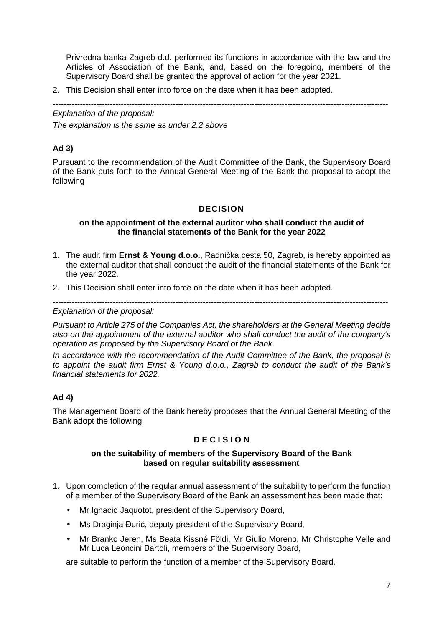Privredna banka Zagreb d.d. performed its functions in accordance with the law and the Articles of Association of the Bank, and, based on the foregoing, members of the Supervisory Board shall be granted the approval of action for the year 2021.

2. This Decision shall enter into force on the date when it has been adopted.

--------------------------------------------------------------------------------------------------------------------------- Explanation of the proposal:

The explanation is the same as under 2.2 above

# **Ad 3)**

Pursuant to the recommendation of the Audit Committee of the Bank, the Supervisory Board of the Bank puts forth to the Annual General Meeting of the Bank the proposal to adopt the following

# **DECISION**

#### **on the appointment of the external auditor who shall conduct the audit of the financial statements of the Bank for the year 2022**

- 1. The audit firm **Ernst & Young d.o.o.**, Radnička cesta 50, Zagreb, is hereby appointed as the external auditor that shall conduct the audit of the financial statements of the Bank for the year 2022.
- 2. This Decision shall enter into force on the date when it has been adopted.

# ---------------------------------------------------------------------------------------------------------------------------

Explanation of the proposal:

Pursuant to Article 275 of the Companies Act, the shareholders at the General Meeting decide also on the appointment of the external auditor who shall conduct the audit of the company's operation as proposed by the Supervisory Board of the Bank.

In accordance with the recommendation of the Audit Committee of the Bank, the proposal is to appoint the audit firm Ernst & Young d.o.o., Zagreb to conduct the audit of the Bank's financial statements for 2022.

# **Ad 4)**

The Management Board of the Bank hereby proposes that the Annual General Meeting of the Bank adopt the following

# **D E C I S I O N**

# **on the suitability of members of the Supervisory Board of the Bank based on regular suitability assessment**

- 1. Upon completion of the regular annual assessment of the suitability to perform the function of a member of the Supervisory Board of the Bank an assessment has been made that:
	- Mr Ignacio Jaquotot, president of the Supervisory Board,
	- Ms Draginja Đurić, deputy president of the Supervisory Board,
	- Mr Branko Jeren, Ms Beata Kissné Földi, Mr Giulio Moreno, Mr Christophe Velle and Mr Luca Leoncini Bartoli, members of the Supervisory Board,

are suitable to perform the function of a member of the Supervisory Board.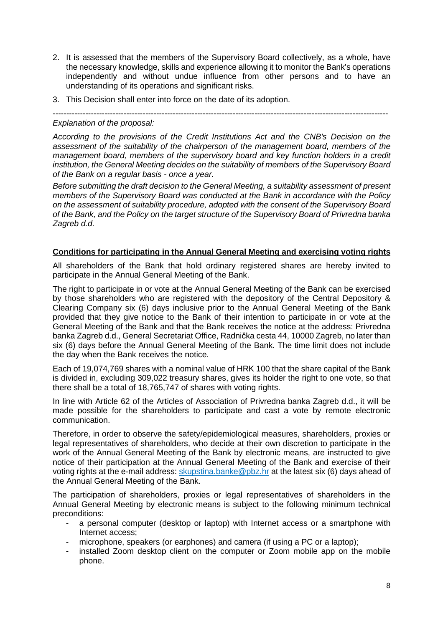- 2. It is assessed that the members of the Supervisory Board collectively, as a whole, have the necessary knowledge, skills and experience allowing it to monitor the Bank's operations independently and without undue influence from other persons and to have an understanding of its operations and significant risks.
- 3. This Decision shall enter into force on the date of its adoption.

---------------------------------------------------------------------------------------------------------------------------

#### Explanation of the proposal:

According to the provisions of the Credit Institutions Act and the CNB's Decision on the assessment of the suitability of the chairperson of the management board, members of the management board, members of the supervisory board and key function holders in a credit institution, the General Meeting decides on the suitability of members of the Supervisory Board of the Bank on a regular basis - once a year.

Before submitting the draft decision to the General Meeting, a suitability assessment of present members of the Supervisory Board was conducted at the Bank in accordance with the Policy on the assessment of suitability procedure, adopted with the consent of the Supervisory Board of the Bank, and the Policy on the target structure of the Supervisory Board of Privredna banka Zagreb d.d.

#### **Conditions for participating in the Annual General Meeting and exercising voting rights**

All shareholders of the Bank that hold ordinary registered shares are hereby invited to participate in the Annual General Meeting of the Bank.

The right to participate in or vote at the Annual General Meeting of the Bank can be exercised by those shareholders who are registered with the depository of the Central Depository & Clearing Company six (6) days inclusive prior to the Annual General Meeting of the Bank provided that they give notice to the Bank of their intention to participate in or vote at the General Meeting of the Bank and that the Bank receives the notice at the address: Privredna banka Zagreb d.d., General Secretariat Office, Radnička cesta 44, 10000 Zagreb, no later than six (6) days before the Annual General Meeting of the Bank. The time limit does not include the day when the Bank receives the notice.

Each of 19,074,769 shares with a nominal value of HRK 100 that the share capital of the Bank is divided in, excluding 309,022 treasury shares, gives its holder the right to one vote, so that there shall be a total of 18,765,747 of shares with voting rights.

In line with Article 62 of the Articles of Association of Privredna banka Zagreb d.d., it will be made possible for the shareholders to participate and cast a vote by remote electronic communication.

Therefore, in order to observe the safety/epidemiological measures, shareholders, proxies or legal representatives of shareholders, who decide at their own discretion to participate in the work of the Annual General Meeting of the Bank by electronic means, are instructed to give notice of their participation at the Annual General Meeting of the Bank and exercise of their voting rights at the e-mail address: skupstina.banke@pbz.hr at the latest six (6) days ahead of the Annual General Meeting of the Bank.

The participation of shareholders, proxies or legal representatives of shareholders in the Annual General Meeting by electronic means is subject to the following minimum technical preconditions:

- a personal computer (desktop or laptop) with Internet access or a smartphone with Internet access;
- microphone, speakers (or earphones) and camera (if using a PC or a laptop);
- installed Zoom desktop client on the computer or Zoom mobile app on the mobile phone.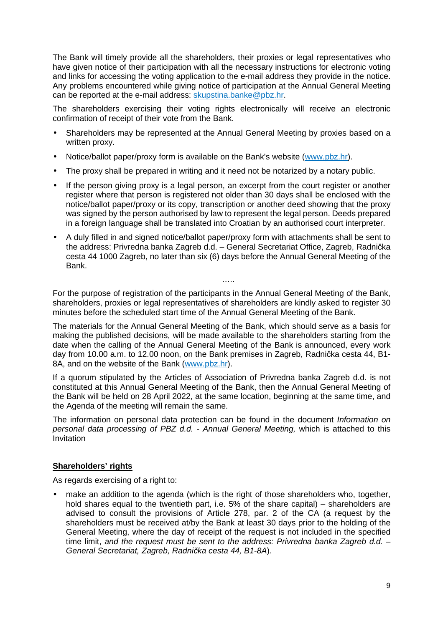The Bank will timely provide all the shareholders, their proxies or legal representatives who have given notice of their participation with all the necessary instructions for electronic voting and links for accessing the voting application to the e-mail address they provide in the notice. Any problems encountered while giving notice of participation at the Annual General Meeting can be reported at the e-mail address: skupstina.banke@pbz.hr.

The shareholders exercising their voting rights electronically will receive an electronic confirmation of receipt of their vote from the Bank.

- Shareholders may be represented at the Annual General Meeting by proxies based on a written proxy.
- Notice/ballot paper/proxy form is available on the Bank's website (www.pbz.hr).
- The proxy shall be prepared in writing and it need not be notarized by a notary public.
- If the person giving proxy is a legal person, an excerpt from the court register or another register where that person is registered not older than 30 days shall be enclosed with the notice/ballot paper/proxy or its copy, transcription or another deed showing that the proxy was signed by the person authorised by law to represent the legal person. Deeds prepared in a foreign language shall be translated into Croatian by an authorised court interpreter.
- A duly filled in and signed notice/ballot paper/proxy form with attachments shall be sent to the address: Privredna banka Zagreb d.d. – General Secretariat Office, Zagreb, Radnička cesta 44 1000 Zagreb, no later than six (6) days before the Annual General Meeting of the Bank.

For the purpose of registration of the participants in the Annual General Meeting of the Bank, shareholders, proxies or legal representatives of shareholders are kindly asked to register 30 minutes before the scheduled start time of the Annual General Meeting of the Bank.

……

The materials for the Annual General Meeting of the Bank, which should serve as a basis for making the published decisions, will be made available to the shareholders starting from the date when the calling of the Annual General Meeting of the Bank is announced, every work day from 10.00 a.m. to 12.00 noon, on the Bank premises in Zagreb, Radnička cesta 44, B1- 8A, and on the website of the Bank (www.pbz.hr).

If a quorum stipulated by the Articles of Association of Privredna banka Zagreb d.d. is not constituted at this Annual General Meeting of the Bank, then the Annual General Meeting of the Bank will be held on 28 April 2022, at the same location, beginning at the same time, and the Agenda of the meeting will remain the same.

The information on personal data protection can be found in the document Information on personal data processing of PBZ d.d. - Annual General Meeting, which is attached to this Invitation

# **Shareholders' rights**

As regards exercising of a right to:

make an addition to the agenda (which is the right of those shareholders who, together, hold shares equal to the twentieth part, i.e. 5% of the share capital) – shareholders are advised to consult the provisions of Article 278, par. 2 of the CA (a request by the shareholders must be received at/by the Bank at least 30 days prior to the holding of the General Meeting, where the day of receipt of the request is not included in the specified time limit, and the request must be sent to the address: Privredna banka Zagreb d.d.  $-$ General Secretariat, Zagreb, Radni*č*ka cesta 44, B1-8A).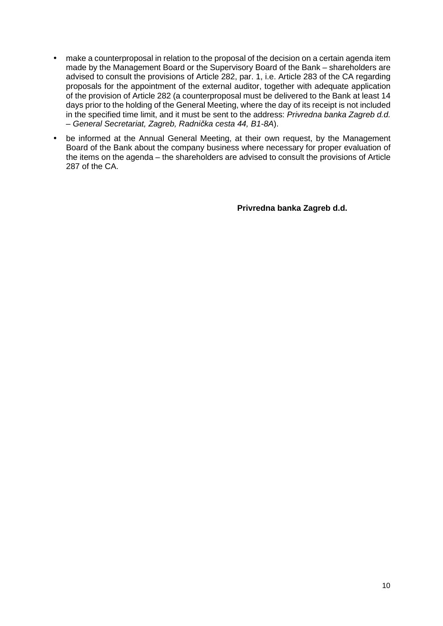- make a counterproposal in relation to the proposal of the decision on a certain agenda item made by the Management Board or the Supervisory Board of the Bank – shareholders are advised to consult the provisions of Article 282, par. 1, i.e. Article 283 of the CA regarding proposals for the appointment of the external auditor, together with adequate application of the provision of Article 282 (a counterproposal must be delivered to the Bank at least 14 days prior to the holding of the General Meeting, where the day of its receipt is not included in the specified time limit, and it must be sent to the address: Privredna banka Zagreb d.d. – General Secretariat, Zagreb, Radni*č*ka cesta 44, B1-8A).
- be informed at the Annual General Meeting, at their own request, by the Management Board of the Bank about the company business where necessary for proper evaluation of the items on the agenda – the shareholders are advised to consult the provisions of Article 287 of the CA.

**Privredna banka Zagreb d.d.**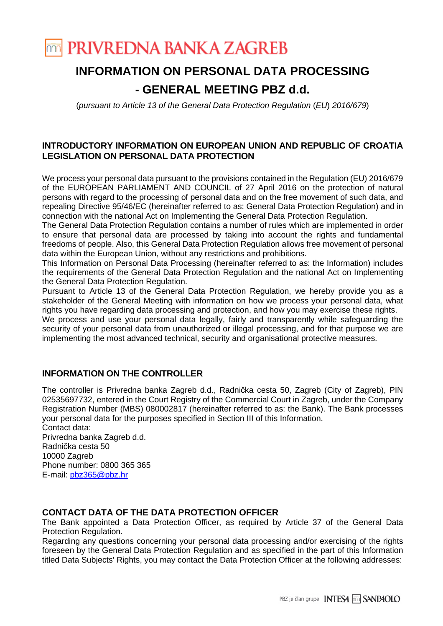

# **INFORMATION ON PERSONAL DATA PROCESSING**

# **- GENERAL MEETING PBZ d.d.**

(pursuant to Article 13 of the General Data Protection Regulation (EU) 2016/679)

# **INTRODUCTORY INFORMATION ON EUROPEAN UNION AND REPUBLIC OF CROATIA LEGISLATION ON PERSONAL DATA PROTECTION**

We process your personal data pursuant to the provisions contained in the Regulation (EU) 2016/679 of the EUROPEAN PARLIAMENT AND COUNCIL of 27 April 2016 on the protection of natural persons with regard to the processing of personal data and on the free movement of such data, and repealing Directive 95/46/EC (hereinafter referred to as: General Data Protection Regulation) and in connection with the national Act on Implementing the General Data Protection Regulation.

The General Data Protection Regulation contains a number of rules which are implemented in order to ensure that personal data are processed by taking into account the rights and fundamental freedoms of people. Also, this General Data Protection Regulation allows free movement of personal data within the European Union, without any restrictions and prohibitions.

This Information on Personal Data Processing (hereinafter referred to as: the Information) includes the requirements of the General Data Protection Regulation and the national Act on Implementing the General Data Protection Regulation.

Pursuant to Article 13 of the General Data Protection Regulation, we hereby provide you as a stakeholder of the General Meeting with information on how we process your personal data, what rights you have regarding data processing and protection, and how you may exercise these rights.

We process and use your personal data legally, fairly and transparently while safeguarding the security of your personal data from unauthorized or illegal processing, and for that purpose we are implementing the most advanced technical, security and organisational protective measures.

# **INFORMATION ON THE CONTROLLER**

The controller is Privredna banka Zagreb d.d., Radnička cesta 50, Zagreb (City of Zagreb), PIN 02535697732, entered in the Court Registry of the Commercial Court in Zagreb, under the Company Registration Number (MBS) 080002817 (hereinafter referred to as: the Bank). The Bank processes your personal data for the purposes specified in Section III of this Information.

Contact data: Privredna banka Zagreb d.d. Radnička cesta 50 10000 Zagreb Phone number: 0800 365 365 E-mail: pbz365@pbz.hr

# **CONTACT DATA OF THE DATA PROTECTION OFFICER**

The Bank appointed a Data Protection Officer, as required by Article 37 of the General Data Protection Regulation.

Regarding any questions concerning your personal data processing and/or exercising of the rights foreseen by the General Data Protection Regulation and as specified in the part of this Information titled Data Subjects' Rights, you may contact the Data Protection Officer at the following addresses: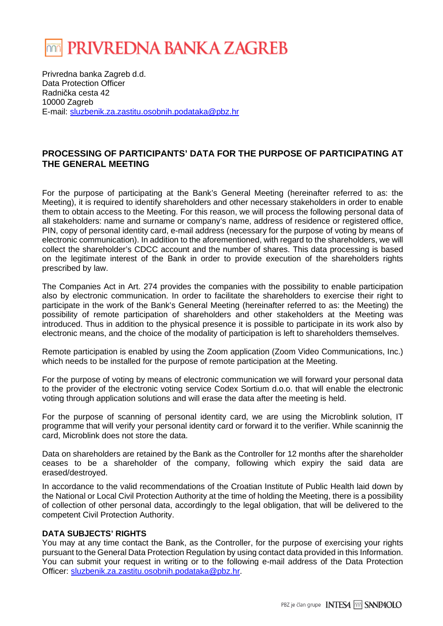

Privredna banka Zagreb d.d. Data Protection Officer Radnička cesta 42 10000 Zagreb E-mail: sluzbenik.za.zastitu.osobnih.podataka@pbz.hr

# **PROCESSING OF PARTICIPANTS' DATA FOR THE PURPOSE OF PARTICIPATING AT THE GENERAL MEETING**

For the purpose of participating at the Bank's General Meeting (hereinafter referred to as: the Meeting), it is required to identify shareholders and other necessary stakeholders in order to enable them to obtain access to the Meeting. For this reason, we will process the following personal data of all stakeholders: name and surname or company's name, address of residence or registered office, PIN, copy of personal identity card, e-mail address (necessary for the purpose of voting by means of electronic communication). In addition to the aforementioned, with regard to the shareholders, we will collect the shareholder's CDCC account and the number of shares. This data processing is based on the legitimate interest of the Bank in order to provide execution of the shareholders rights prescribed by law.

The Companies Act in Art. 274 provides the companies with the possibility to enable participation also by electronic communication. In order to facilitate the shareholders to exercise their right to participate in the work of the Bank's General Meeting (hereinafter referred to as: the Meeting) the possibility of remote participation of shareholders and other stakeholders at the Meeting was introduced. Thus in addition to the physical presence it is possible to participate in its work also by electronic means, and the choice of the modality of participation is left to shareholders themselves.

Remote participation is enabled by using the Zoom application (Zoom Video Communications, Inc.) which needs to be installed for the purpose of remote participation at the Meeting.

For the purpose of voting by means of electronic communication we will forward your personal data to the provider of the electronic voting service Codex Sortium d.o.o. that will enable the electronic voting through application solutions and will erase the data after the meeting is held.

For the purpose of scanning of personal identity card, we are using the Microblink solution, IT programme that will verify your personal identity card or forward it to the verifier. While scaninnig the card, Microblink does not store the data.

Data on shareholders are retained by the Bank as the Controller for 12 months after the shareholder ceases to be a shareholder of the company, following which expiry the said data are erased/destroyed.

In accordance to the valid recommendations of the Croatian Institute of Public Health laid down by the National or Local Civil Protection Authority at the time of holding the Meeting, there is a possibility of collection of other personal data, accordingly to the legal obligation, that will be delivered to the competent Civil Protection Authority.

# **DATA SUBJECTS' RIGHTS**

You may at any time contact the Bank, as the Controller, for the purpose of exercising your rights pursuant to the General Data Protection Regulation by using contact data provided in this Information. You can submit your request in writing or to the following e-mail address of the Data Protection Officer: sluzbenik.za.zastitu.osobnih.podataka@pbz.hr.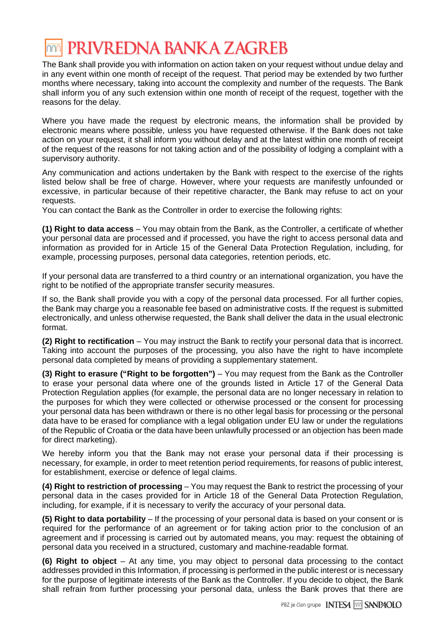# PRIVREDNA BANKA ZAGREB

The Bank shall provide you with information on action taken on your request without undue delay and in any event within one month of receipt of the request. That period may be extended by two further months where necessary, taking into account the complexity and number of the requests. The Bank shall inform you of any such extension within one month of receipt of the request, together with the reasons for the delay.

Where you have made the request by electronic means, the information shall be provided by electronic means where possible, unless you have requested otherwise. If the Bank does not take action on your request, it shall inform you without delay and at the latest within one month of receipt of the request of the reasons for not taking action and of the possibility of lodging a complaint with a supervisory authority.

Any communication and actions undertaken by the Bank with respect to the exercise of the rights listed below shall be free of charge. However, where your requests are manifestly unfounded or excessive, in particular because of their repetitive character, the Bank may refuse to act on your requests.

You can contact the Bank as the Controller in order to exercise the following rights:

**(1) Right to data access** – You may obtain from the Bank, as the Controller, a certificate of whether your personal data are processed and if processed, you have the right to access personal data and information as provided for in Article 15 of the General Data Protection Regulation, including, for example, processing purposes, personal data categories, retention periods, etc.

If your personal data are transferred to a third country or an international organization, you have the right to be notified of the appropriate transfer security measures.

If so, the Bank shall provide you with a copy of the personal data processed. For all further copies, the Bank may charge you a reasonable fee based on administrative costs. If the request is submitted electronically, and unless otherwise requested, the Bank shall deliver the data in the usual electronic format.

**(2) Right to rectification** – You may instruct the Bank to rectify your personal data that is incorrect. Taking into account the purposes of the processing, you also have the right to have incomplete personal data completed by means of providing a supplementary statement.

**(3) Right to erasure ("Right to be forgotten")** – You may request from the Bank as the Controller to erase your personal data where one of the grounds listed in Article 17 of the General Data Protection Regulation applies (for example, the personal data are no longer necessary in relation to the purposes for which they were collected or otherwise processed or the consent for processing your personal data has been withdrawn or there is no other legal basis for processing or the personal data have to be erased for compliance with a legal obligation under EU law or under the regulations of the Republic of Croatia or the data have been unlawfully processed or an objection has been made for direct marketing).

We hereby inform you that the Bank may not erase your personal data if their processing is necessary, for example, in order to meet retention period requirements, for reasons of public interest, for establishment, exercise or defence of legal claims.

**(4) Right to restriction of processing** – You may request the Bank to restrict the processing of your personal data in the cases provided for in Article 18 of the General Data Protection Regulation, including, for example, if it is necessary to verify the accuracy of your personal data.

**(5) Right to data portability** – If the processing of your personal data is based on your consent or is required for the performance of an agreement or for taking action prior to the conclusion of an agreement and if processing is carried out by automated means, you may: request the obtaining of personal data you received in a structured, customary and machine-readable format.

**(6) Right to object** – At any time, you may object to personal data processing to the contact addresses provided in this Information, if processing is performed in the public interest or is necessary for the purpose of legitimate interests of the Bank as the Controller. If you decide to object, the Bank shall refrain from further processing your personal data, unless the Bank proves that there are